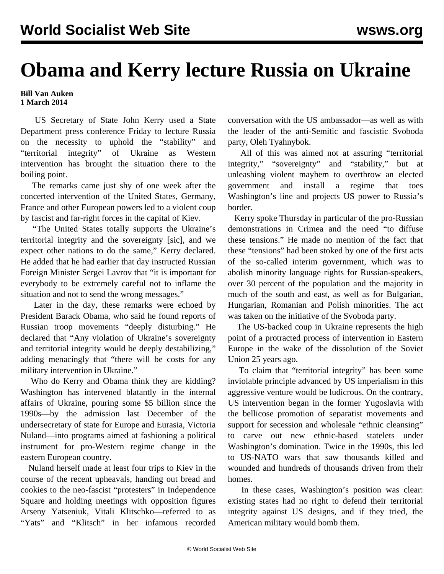## **Obama and Kerry lecture Russia on Ukraine**

## **Bill Van Auken 1 March 2014**

 US Secretary of State John Kerry used a State Department press conference Friday to lecture Russia on the necessity to uphold the "stability" and "territorial integrity" of Ukraine as Western intervention has brought the situation there to the boiling point.

 The remarks came just shy of one week after the concerted intervention of the United States, Germany, France and other European powers led to a violent coup by fascist and far-right forces in the capital of Kiev.

 "The United States totally supports the Ukraine's territorial integrity and the sovereignty [sic], and we expect other nations to do the same," Kerry declared. He added that he had earlier that day instructed Russian Foreign Minister Sergei Lavrov that "it is important for everybody to be extremely careful not to inflame the situation and not to send the wrong messages."

 Later in the day, these remarks were echoed by President Barack Obama, who said he found reports of Russian troop movements "deeply disturbing." He declared that "Any violation of Ukraine's sovereignty and territorial integrity would be deeply destabilizing," adding menacingly that "there will be costs for any military intervention in Ukraine."

 Who do Kerry and Obama think they are kidding? Washington has intervened blatantly in the internal affairs of Ukraine, pouring some \$5 billion since the 1990s—by the admission last December of the undersecretary of state for Europe and Eurasia, Victoria Nuland—into programs aimed at fashioning a political instrument for pro-Western regime change in the eastern European country.

 Nuland herself made at least four trips to Kiev in the course of the recent upheavals, handing out bread and cookies to the neo-fascist "protesters" in Independence Square and holding meetings with opposition figures Arseny Yatseniuk, Vitali Klitschko—referred to as "Yats" and "Klitsch" in her infamous recorded conversation with the US ambassador—as well as with the leader of the anti-Semitic and fascistic Svoboda party, Oleh Tyahnybok.

 All of this was aimed not at assuring "territorial integrity," "sovereignty" and "stability," but at unleashing violent mayhem to overthrow an elected government and install a regime that toes Washington's line and projects US power to Russia's border.

 Kerry spoke Thursday in particular of the pro-Russian demonstrations in Crimea and the need "to diffuse these tensions." He made no mention of the fact that these "tensions" had been stoked by one of the first acts of the so-called interim government, which was to abolish minority language rights for Russian-speakers, over 30 percent of the population and the majority in much of the south and east, as well as for Bulgarian, Hungarian, Romanian and Polish minorities. The act was taken on the initiative of the Svoboda party.

 The US-backed coup in Ukraine represents the high point of a protracted process of intervention in Eastern Europe in the wake of the dissolution of the Soviet Union 25 years ago.

 To claim that "territorial integrity" has been some inviolable principle advanced by US imperialism in this aggressive venture would be ludicrous. On the contrary, US intervention began in the former Yugoslavia with the bellicose promotion of separatist movements and support for secession and wholesale "ethnic cleansing" to carve out new ethnic-based statelets under Washington's domination. Twice in the 1990s, this led to US-NATO wars that saw thousands killed and wounded and hundreds of thousands driven from their homes.

 In these cases, Washington's position was clear: existing states had no right to defend their territorial integrity against US designs, and if they tried, the American military would bomb them.